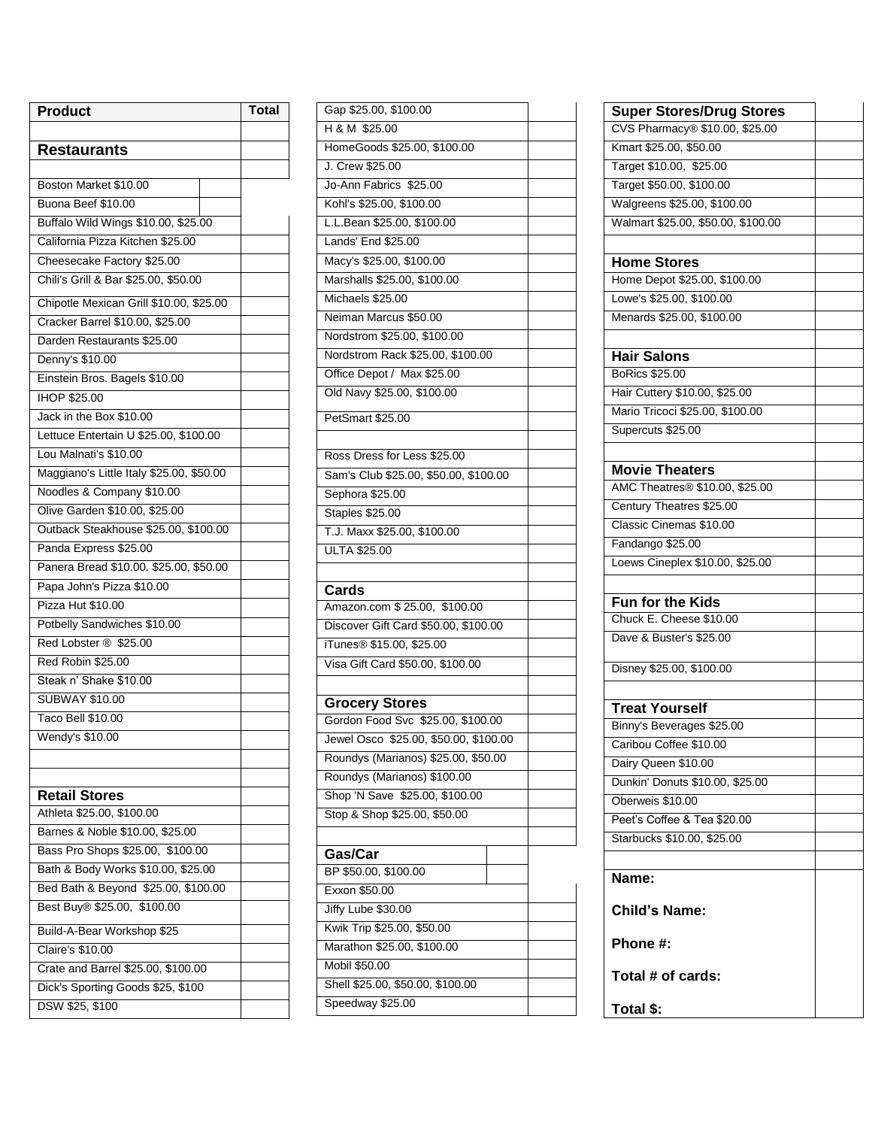| Product                                  | <b>Total</b> |
|------------------------------------------|--------------|
|                                          |              |
| <b>Restaurants</b>                       |              |
|                                          |              |
| Boston Market \$10.00                    |              |
| Buona Beef \$10.00                       |              |
| Buffalo Wild Wings \$10.00, \$25.00      |              |
| California Pizza Kitchen \$25.00         |              |
| Cheesecake Factory \$25.00               |              |
| Chili's Grill & Bar \$25.00, \$50.00     |              |
| Chipotle Mexican Grill \$10.00, \$25.00  |              |
| Cracker Barrel \$10.00, \$25.00          |              |
| Darden Restaurants \$25.00               |              |
| Denny's \$10.00                          |              |
| Einstein Bros. Bagels \$10.00            |              |
| <b>IHOP \$25.00</b>                      |              |
| Jack in the Box \$10.00                  |              |
| Lettuce Entertain U \$25.00, \$100.00    |              |
| Lou Malnati's \$10.00                    |              |
| Maggiano's Little Italy \$25.00, \$50.00 |              |
| Noodles & Company \$10.00                |              |
| Olive Garden \$10.00, \$25.00            |              |
| Outback Steakhouse \$25.00, \$100.00     |              |
| Panda Express \$25.00                    |              |
| Panera Bread \$10.00. \$25.00, \$50.00   |              |
| Papa John's Pizza \$10.00                |              |
| Pizza Hut \$10.00                        |              |
| Potbelly Sandwiches \$10.00              |              |
| Red Lobster ® \$25.00                    |              |
| Red Robin \$25.00                        |              |
| Steak n' Shake \$10.00                   |              |
| <b>SUBWAY \$10.00</b>                    |              |
| <b>Taco Bell \$10.00</b>                 |              |
| Wendy's \$10.00                          |              |
|                                          |              |
|                                          |              |
| <b>Retail Stores</b>                     |              |
| Athleta \$25.00, \$100.00                |              |
| Barnes & Noble \$10.00, \$25.00          |              |
| Bass Pro Shops \$25.00, \$100.00         |              |
| Bath & Body Works \$10.00, \$25.00       |              |
| Bed Bath & Beyond \$25.00, \$100.00      |              |
| Best Buy® \$25.00, \$100.00              |              |
| Build-A-Bear Workshop \$25               |              |
| <b>Claire's \$10.00</b>                  |              |
| Crate and Barrel \$25.00, \$100.00       |              |
| Dick's Sporting Goods \$25, \$100        |              |
| DSW \$25, \$100                          |              |

| Gap \$25.00, \$100.00                 |  |
|---------------------------------------|--|
| H & M \$25.00                         |  |
| HomeGoods \$25.00, \$100.00           |  |
| J. Crew \$25.00                       |  |
| Jo-Ann Fabrics \$25.00                |  |
| Kohl's \$25.00, \$100.00              |  |
| L.L.Bean \$25.00, \$100.00            |  |
| Lands' End \$25.00                    |  |
| Macy's \$25.00, \$100.00              |  |
| Marshalls \$25.00, \$100.00           |  |
| Michaels \$25.00                      |  |
| Neiman Marcus \$50.00                 |  |
| Nordstrom \$25.00, \$100.00           |  |
| Nordstrom Rack \$25.00, \$100.00      |  |
| Office Depot / Max \$25.00            |  |
| Old Navy \$25.00, \$100.00            |  |
|                                       |  |
| PetSmart \$25.00                      |  |
|                                       |  |
| Ross Dress for Less \$25.00           |  |
| Sam's Club \$25.00, \$50.00, \$100.00 |  |
| Sephora \$25.00                       |  |
| Staples \$25.00                       |  |
| T.J. Maxx \$25.00, \$100.00           |  |
| <b>ULTA \$25.00</b>                   |  |
|                                       |  |
| Cards                                 |  |
| Amazon.com \$25.00, \$100.00          |  |
| Discover Gift Card \$50.00, \$100.00  |  |
| iTunes <sup>®</sup> \$15.00, \$25.00  |  |
| Visa Gift Card \$50.00, \$100.00      |  |
|                                       |  |
| <b>Grocery Stores</b>                 |  |
| Gordon Food Svc \$25.00, \$100.00     |  |
|                                       |  |
|                                       |  |
| Jewel Osco \$25.00, \$50.00, \$100.00 |  |
| Roundys (Marianos) \$25.00, \$50.00   |  |
| Roundys (Marianos) \$100.00           |  |
| Shop 'N Save \$25.00, \$100.00        |  |
| Stop & Shop \$25.00, \$50.00          |  |
|                                       |  |
| Gas/Car                               |  |
| BP \$50.00, \$100.00                  |  |
| Exxon \$50.00                         |  |
| Jiffy Lube \$30.00                    |  |
| Kwik Trip \$25.00, \$50.00            |  |
| Marathon \$25.00, \$100.00            |  |
| Mobil \$50.00                         |  |
| Shell \$25.00, \$50.00, \$100.00      |  |
| Speedway \$25.00                      |  |

| <b>Super Stores/Drug Stores</b>    |  |
|------------------------------------|--|
| CVS Pharmacy® \$10.00, \$25.00     |  |
| Kmart \$25.00, \$50.00             |  |
| Target \$10.00, \$25.00            |  |
| Target \$50.00, \$100.00           |  |
| Walgreens \$25.00, \$100.00        |  |
| Walmart \$25.00, \$50.00, \$100.00 |  |
| <b>Home Stores</b>                 |  |
| Home Depot \$25.00, \$100.00       |  |
| Lowe's \$25.00, \$100.00           |  |
| Menards \$25.00, \$100.00          |  |
|                                    |  |
| <b>Hair Salons</b>                 |  |
| BoRics \$25.00                     |  |
| Hair Cuttery \$10.00, \$25.00      |  |
| Mario Tricoci \$25.00, \$100.00    |  |
| Supercuts \$25.00                  |  |
|                                    |  |
| <b>Movie Theaters</b>              |  |
| AMC Theatres® \$10.00, \$25.00     |  |
| Century Theatres \$25.00           |  |
| Classic Cinemas \$10.00            |  |
| Fandango \$25.00                   |  |
| Loews Cineplex \$10.00, \$25.00    |  |
|                                    |  |
| Fun for the Kids                   |  |
| Chuck E. Cheese \$10.00            |  |
| Dave & Buster's \$25.00            |  |
|                                    |  |
| Disney \$25.00, \$100.00           |  |
| <b>Treat Yourself</b>              |  |
| Binny's Beverages \$25.00          |  |
| Caribou Coffee \$10.00             |  |
| Dairy Queen \$10.00                |  |
| Dunkin' Donuts \$10.00, \$25.00    |  |
| Oberweis \$10.00                   |  |
| Peet's Coffee & Tea \$20.00        |  |
| Starbucks \$10.00, \$25.00         |  |
|                                    |  |
| Name:                              |  |
| <b>Child's Name:</b>               |  |
| Phone #:                           |  |
|                                    |  |
| Total # of cards:                  |  |
| Total \$:                          |  |